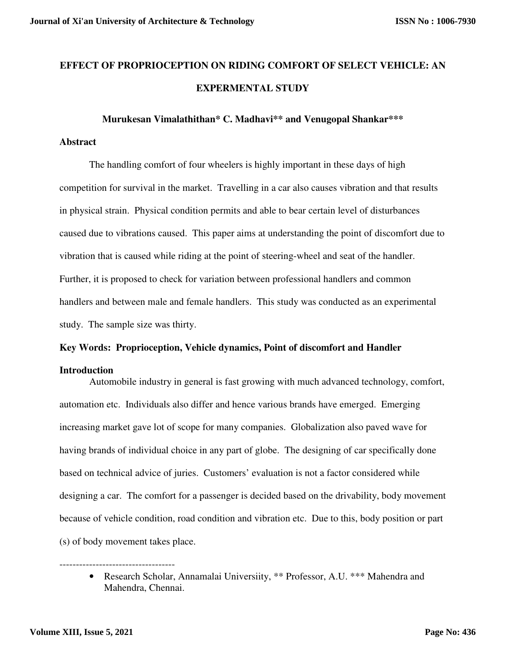# **EFFECT OF PROPRIOCEPTION ON RIDING COMFORT OF SELECT VEHICLE: AN EXPERMENTAL STUDY**

#### **Murukesan Vimalathithan\* C. Madhavi\*\* and Venugopal Shankar\*\*\***

## **Abstract**

The handling comfort of four wheelers is highly important in these days of high competition for survival in the market. Travelling in a car also causes vibration and that results in physical strain. Physical condition permits and able to bear certain level of disturbances caused due to vibrations caused. This paper aims at understanding the point of discomfort due to vibration that is caused while riding at the point of steering-wheel and seat of the handler. Further, it is proposed to check for variation between professional handlers and common handlers and between male and female handlers. This study was conducted as an experimental study. The sample size was thirty.

# **Key Words: Proprioception, Vehicle dynamics, Point of discomfort and Handler**

# **Introduction**

Automobile industry in general is fast growing with much advanced technology, comfort, automation etc. Individuals also differ and hence various brands have emerged. Emerging increasing market gave lot of scope for many companies. Globalization also paved wave for having brands of individual choice in any part of globe. The designing of car specifically done based on technical advice of juries. Customers' evaluation is not a factor considered while designing a car. The comfort for a passenger is decided based on the drivability, body movement because of vehicle condition, road condition and vibration etc. Due to this, body position or part (s) of body movement takes place.

-----------------------------------

<sup>•</sup> Research Scholar, Annamalai Universiity, \*\* Professor, A.U. \*\*\* Mahendra and Mahendra, Chennai.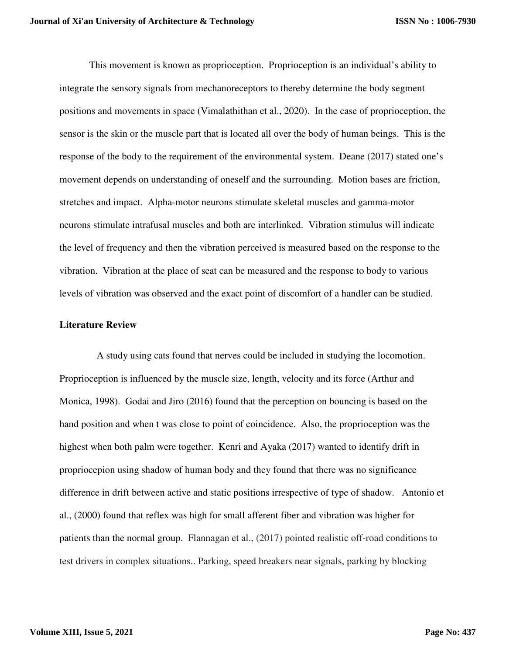This movement is known as proprioception. Proprioception is an individual's ability to integrate the sensory signals from mechanoreceptors to thereby determine the body segment positions and movements in space (Vimalathithan et al., 2020). In the case of proprioception, the sensor is the skin or the muscle part that is located all over the body of human beings. This is the response of the body to the requirement of the environmental system. Deane (2017) stated one's movement depends on understanding of oneself and the surrounding. Motion bases are friction, stretches and impact. Alpha-motor neurons stimulate skeletal muscles and gamma-motor neurons stimulate intrafusal muscles and both are interlinked. Vibration stimulus will indicate the level of frequency and then the vibration perceived is measured based on the response to the vibration. Vibration at the place of seat can be measured and the response to body to various levels of vibration was observed and the exact point of discomfort of a handler can be studied.

## **Literature Review**

 A study using cats found that nerves could be included in studying the locomotion. Proprioception is influenced by the muscle size, length, velocity and its force (Arthur and Monica, 1998). Godai and Jiro (2016) found that the perception on bouncing is based on the hand position and when t was close to point of coincidence. Also, the proprioception was the highest when both palm were together. Kenri and Ayaka (2017) wanted to identify drift in propriocepion using shadow of human body and they found that there was no significance difference in drift between active and static positions irrespective of type of shadow. Antonio et al., (2000) found that reflex was high for small afferent fiber and vibration was higher for patients than the normal group. Flannagan et al., (2017) pointed realistic off-road conditions to test drivers in complex situations.. Parking, speed breakers near signals, parking by blocking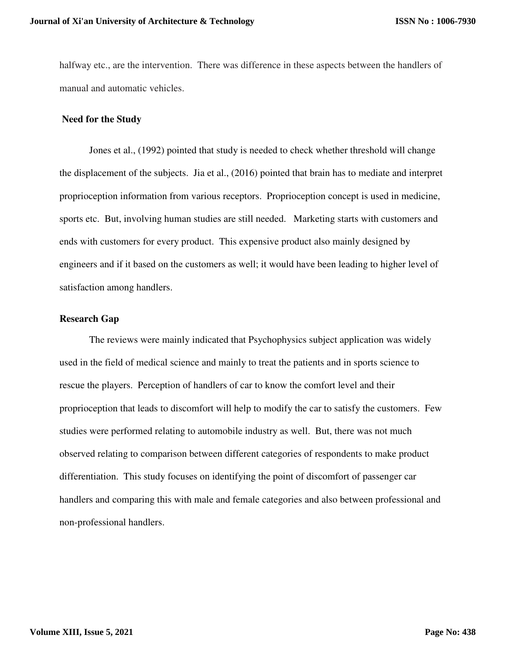halfway etc., are the intervention. There was difference in these aspects between the handlers of manual and automatic vehicles.

# **Need for the Study**

Jones et al., (1992) pointed that study is needed to check whether threshold will change the displacement of the subjects. Jia et al., (2016) pointed that brain has to mediate and interpret proprioception information from various receptors. Proprioception concept is used in medicine, sports etc. But, involving human studies are still needed. Marketing starts with customers and ends with customers for every product. This expensive product also mainly designed by engineers and if it based on the customers as well; it would have been leading to higher level of satisfaction among handlers.

# **Research Gap**

The reviews were mainly indicated that Psychophysics subject application was widely used in the field of medical science and mainly to treat the patients and in sports science to rescue the players. Perception of handlers of car to know the comfort level and their proprioception that leads to discomfort will help to modify the car to satisfy the customers. Few studies were performed relating to automobile industry as well. But, there was not much observed relating to comparison between different categories of respondents to make product differentiation. This study focuses on identifying the point of discomfort of passenger car handlers and comparing this with male and female categories and also between professional and non-professional handlers.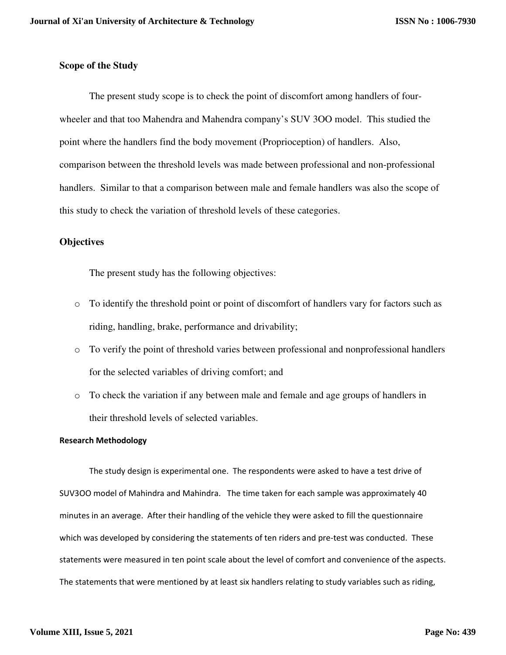# **Scope of the Study**

The present study scope is to check the point of discomfort among handlers of fourwheeler and that too Mahendra and Mahendra company's SUV 3OO model. This studied the point where the handlers find the body movement (Proprioception) of handlers. Also, comparison between the threshold levels was made between professional and non-professional handlers. Similar to that a comparison between male and female handlers was also the scope of this study to check the variation of threshold levels of these categories.

# **Objectives**

The present study has the following objectives:

- o To identify the threshold point or point of discomfort of handlers vary for factors such as riding, handling, brake, performance and drivability;
- o To verify the point of threshold varies between professional and nonprofessional handlers for the selected variables of driving comfort; and
- o To check the variation if any between male and female and age groups of handlers in their threshold levels of selected variables.

#### **Research Methodology**

The study design is experimental one. The respondents were asked to have a test drive of SUV3OO model of Mahindra and Mahindra. The time taken for each sample was approximately 40 minutes in an average. After their handling of the vehicle they were asked to fill the questionnaire which was developed by considering the statements of ten riders and pre-test was conducted. These statements were measured in ten point scale about the level of comfort and convenience of the aspects. The statements that were mentioned by at least six handlers relating to study variables such as riding,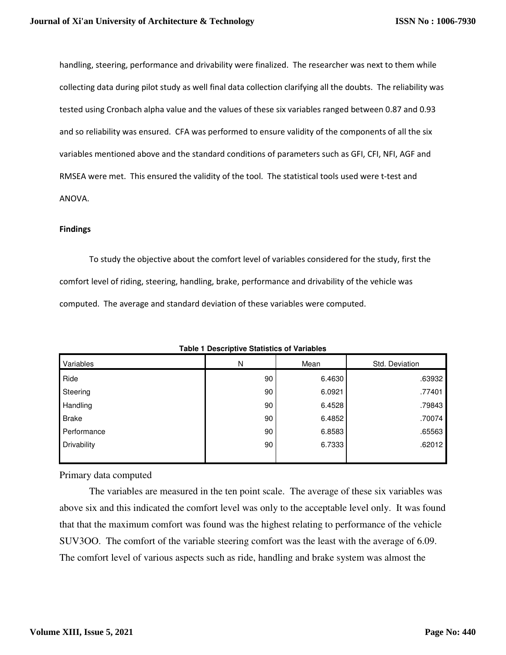handling, steering, performance and drivability were finalized. The researcher was next to them while collecting data during pilot study as well final data collection clarifying all the doubts. The reliability was tested using Cronbach alpha value and the values of these six variables ranged between 0.87 and 0.93 and so reliability was ensured. CFA was performed to ensure validity of the components of all the six variables mentioned above and the standard conditions of parameters such as GFI, CFI, NFI, AGF and RMSEA were met. This ensured the validity of the tool. The statistical tools used were t-test and ANOVA.

#### **Findings**

To study the objective about the comfort level of variables considered for the study, first the comfort level of riding, steering, handling, brake, performance and drivability of the vehicle was computed. The average and standard deviation of these variables were computed.

| Variables          | N  | Mean   | Std. Deviation |
|--------------------|----|--------|----------------|
| Ride               | 90 | 6.4630 | .63932         |
| Steering           | 90 | 6.0921 | .77401         |
| Handling           | 90 | 6.4528 | .79843         |
| <b>Brake</b>       | 90 | 6.4852 | .70074         |
| Performance        | 90 | 6.8583 | .65563         |
| <b>Drivability</b> | 90 | 6.7333 | .62012         |
|                    |    |        |                |

**Table 1 Descriptive Statistics of Variables**

Primary data computed

 The variables are measured in the ten point scale. The average of these six variables was above six and this indicated the comfort level was only to the acceptable level only. It was found that that the maximum comfort was found was the highest relating to performance of the vehicle SUV3OO. The comfort of the variable steering comfort was the least with the average of 6.09. The comfort level of various aspects such as ride, handling and brake system was almost the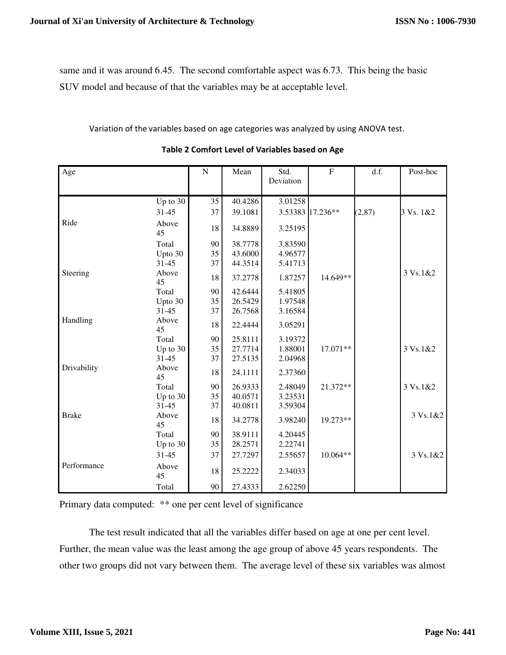same and it was around 6.45. The second comfortable aspect was 6.73. This being the basic SUV model and because of that the variables may be at acceptable level.

Variation of the variables based on age categories was analyzed by using ANOVA test.

| Age          |             | ${\bf N}$ | Mean    | Std.<br>Deviation | ${\bf F}$        | d.f.    | Post-hoc  |
|--------------|-------------|-----------|---------|-------------------|------------------|---------|-----------|
|              | Up to $30$  | 35        | 40.4286 | 3.01258           |                  |         |           |
|              | $31 - 45$   | 37        | 39.1081 |                   | 3.53383 17.236** | (2, 87) | 3 Vs. 1&2 |
| Ride         | Above<br>45 | 18        | 34.8889 | 3.25195           |                  |         |           |
|              | Total       | 90        | 38.7778 | 3.83590           |                  |         |           |
|              | Upto 30     | 35        | 43.6000 | 4.96577           |                  |         |           |
|              | $31 - 45$   | 37        | 44.3514 | 5.41713           |                  |         |           |
| Steering     | Above<br>45 | $18\,$    | 37.2778 | 1.87257           | 14.649**         |         | 3 Vs.1&2  |
|              | Total       | 90        | 42.6444 | 5.41805           |                  |         |           |
|              | Upto 30     | 35        | 26.5429 | 1.97548           |                  |         |           |
|              | $31 - 45$   | 37        | 26.7568 | 3.16584           |                  |         |           |
| Handling     | Above<br>45 | 18        | 22.4444 | 3.05291           |                  |         |           |
|              | Total       | 90        | 25.8111 | 3.19372           |                  |         |           |
|              | Up to $30$  | 35        | 27.7714 | 1.88001           | 17.071**         |         | 3 Vs.1&2  |
|              | 31-45       | 37        | 27.5135 | 2.04968           |                  |         |           |
| Drivability  | Above<br>45 | 18        | 24.1111 | 2.37360           |                  |         |           |
|              | Total       | 90        | 26.9333 | 2.48049           | 21.372**         |         | 3 Vs.1&2  |
|              | Up to $30$  | 35        | 40.0571 | 3.23531           |                  |         |           |
|              | $31 - 45$   | 37        | 40.0811 | 3.59304           |                  |         |           |
| <b>Brake</b> | Above<br>45 | 18        | 34.2778 | 3.98240           | 19.273**         |         | 3 Vs.1&2  |
|              | Total       | 90        | 38.9111 | 4.20445           |                  |         |           |
|              | Up to $30$  | 35        | 28.2571 | 2.22741           |                  |         |           |
|              | 31-45       | 37        | 27.7297 | 2.55657           | 10.064**         |         | 3 Vs.1&2  |
| Performance  | Above<br>45 | 18        | 25.2222 | 2.34033           |                  |         |           |
|              | Total       | 90        | 27.4333 | 2.62250           |                  |         |           |

**Table 2 Comfort Level of Variables based on Age**

Primary data computed: \*\* one per cent level of significance

 The test result indicated that all the variables differ based on age at one per cent level. Further, the mean value was the least among the age group of above 45 years respondents. The other two groups did not vary between them. The average level of these six variables was almost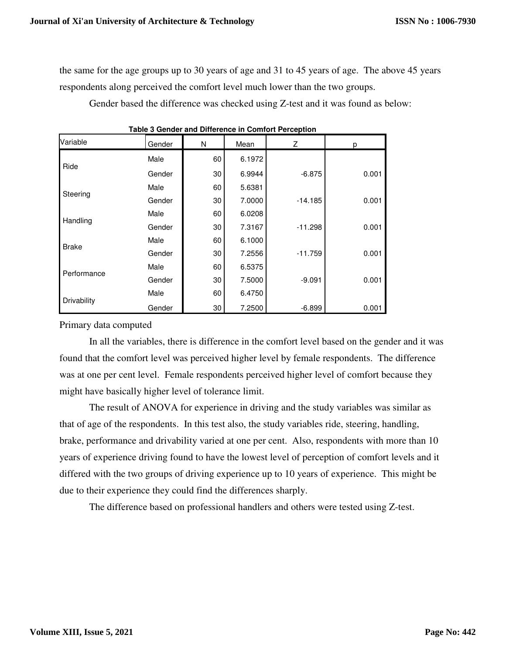the same for the age groups up to 30 years of age and 31 to 45 years of age. The above 45 years respondents along perceived the comfort level much lower than the two groups.

Gender based the difference was checked using Z-test and it was found as below:

| Variable     | Gender | N  | Mean   | Z         | p     |
|--------------|--------|----|--------|-----------|-------|
| Ride         | Male   | 60 | 6.1972 |           |       |
|              | Gender | 30 | 6.9944 | $-6.875$  | 0.001 |
| Steering     | Male   | 60 | 5.6381 |           |       |
|              | Gender | 30 | 7.0000 | $-14.185$ | 0.001 |
| Handling     | Male   | 60 | 6.0208 |           |       |
|              | Gender | 30 | 7.3167 | $-11.298$ | 0.001 |
|              | Male   | 60 | 6.1000 |           |       |
| <b>Brake</b> | Gender | 30 | 7.2556 | $-11.759$ | 0.001 |
| Performance  | Male   | 60 | 6.5375 |           |       |
|              | Gender | 30 | 7.5000 | $-9.091$  | 0.001 |
| Drivability  | Male   | 60 | 6.4750 |           |       |
|              | Gender | 30 | 7.2500 | $-6.899$  | 0.001 |

**Table 3 Gender and Difference in Comfort Perception**

Primary data computed

 In all the variables, there is difference in the comfort level based on the gender and it was found that the comfort level was perceived higher level by female respondents. The difference was at one per cent level. Female respondents perceived higher level of comfort because they might have basically higher level of tolerance limit.

 The result of ANOVA for experience in driving and the study variables was similar as that of age of the respondents. In this test also, the study variables ride, steering, handling, brake, performance and drivability varied at one per cent. Also, respondents with more than 10 years of experience driving found to have the lowest level of perception of comfort levels and it differed with the two groups of driving experience up to 10 years of experience. This might be due to their experience they could find the differences sharply.

The difference based on professional handlers and others were tested using Z-test.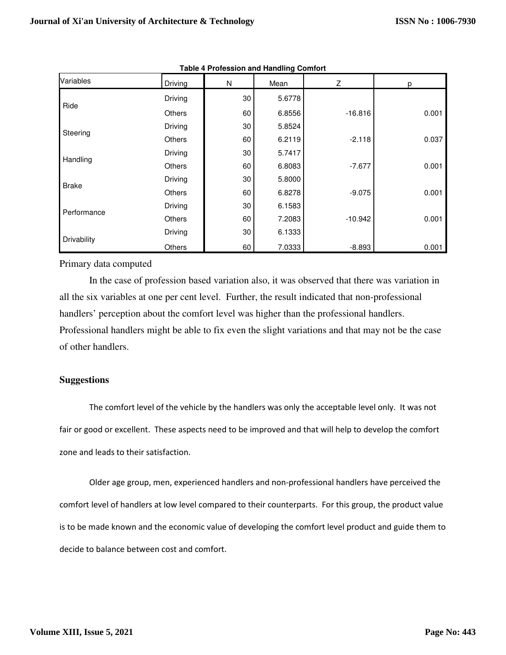| Variables    | Driving       | N  | Mean   | Ζ         | р     |
|--------------|---------------|----|--------|-----------|-------|
| Ride         | Driving       | 30 | 5.6778 |           |       |
|              | <b>Others</b> | 60 | 6.8556 | $-16.816$ | 0.001 |
| Steering     | Driving       | 30 | 5.8524 |           |       |
|              | <b>Others</b> | 60 | 6.2119 | $-2.118$  | 0.037 |
| Handling     | Driving       | 30 | 5.7417 |           |       |
|              | <b>Others</b> | 60 | 6.8083 | $-7.677$  | 0.001 |
| <b>Brake</b> | Driving       | 30 | 5.8000 |           |       |
|              | <b>Others</b> | 60 | 6.8278 | $-9.075$  | 0.001 |
| Performance  | Driving       | 30 | 6.1583 |           |       |
|              | <b>Others</b> | 60 | 7.2083 | $-10.942$ | 0.001 |
| Drivability  | Driving       | 30 | 6.1333 |           |       |
|              | Others        | 60 | 7.0333 | $-8.893$  | 0.001 |

| <b>Table 4 Profession and Handling Comfort</b> |  |
|------------------------------------------------|--|
|------------------------------------------------|--|

Primary data computed

 In the case of profession based variation also, it was observed that there was variation in all the six variables at one per cent level. Further, the result indicated that non-professional handlers' perception about the comfort level was higher than the professional handlers. Professional handlers might be able to fix even the slight variations and that may not be the case of other handlers.

# **Suggestions**

The comfort level of the vehicle by the handlers was only the acceptable level only. It was not fair or good or excellent. These aspects need to be improved and that will help to develop the comfort zone and leads to their satisfaction.

 Older age group, men, experienced handlers and non-professional handlers have perceived the comfort level of handlers at low level compared to their counterparts. For this group, the product value is to be made known and the economic value of developing the comfort level product and guide them to decide to balance between cost and comfort.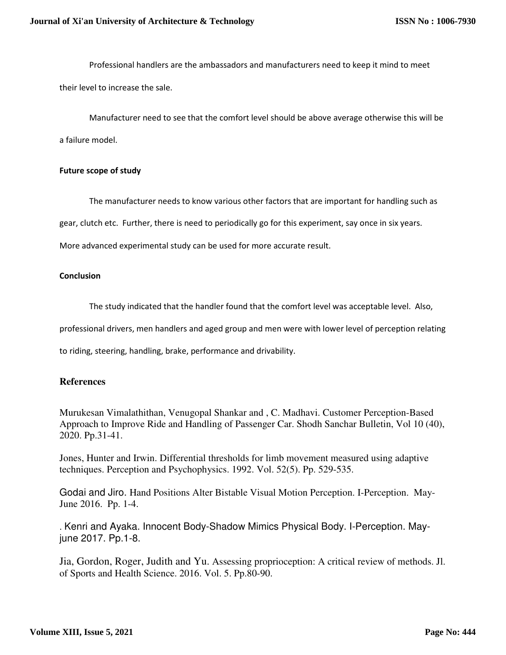Professional handlers are the ambassadors and manufacturers need to keep it mind to meet their level to increase the sale.

 Manufacturer need to see that the comfort level should be above average otherwise this will be a failure model.

### **Future scope of study**

The manufacturer needs to know various other factors that are important for handling such as gear, clutch etc. Further, there is need to periodically go for this experiment, say once in six years.

More advanced experimental study can be used for more accurate result.

### **Conclusion**

The study indicated that the handler found that the comfort level was acceptable level. Also,

professional drivers, men handlers and aged group and men were with lower level of perception relating

to riding, steering, handling, brake, performance and drivability.

# **References**

Murukesan Vimalathithan, Venugopal Shankar and , C. Madhavi. Customer Perception-Based Approach to Improve Ride and Handling of Passenger Car. Shodh Sanchar Bulletin, Vol 10 (40), 2020. Pp.31-41.

Jones, Hunter and Irwin. Differential thresholds for limb movement measured using adaptive techniques. Perception and Psychophysics. 1992. Vol. 52(5). Pp. 529-535.

Godai and Jiro. Hand Positions Alter Bistable Visual Motion Perception. I-Perception. May-June 2016. Pp. 1-4.

. Kenri and Ayaka. Innocent Body-Shadow Mimics Physical Body. I-Perception. Mayjune 2017. Pp.1-8.

Jia, Gordon, Roger, Judith and Yu. Assessing proprioception: A critical review of methods. Jl. of Sports and Health Science. 2016. Vol. 5. Pp.80-90.